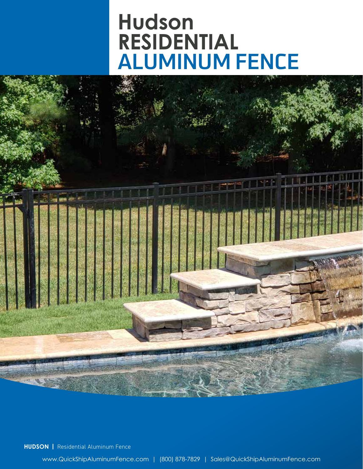# **Hudson RESIDENTIAL** ALUMINUM FENCE



**HUDSON |** Residential Aluminum Fence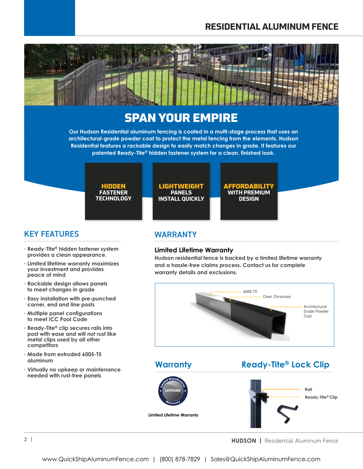## **RESIDENTIAL ALUMINUM FENCE**



## SPAN YOUR EMPIRE

**Our Hudson Residential aluminum fencing is coated in a multi-stage process that uses an architectural-grade powder coat to protect the metal fencing from the elements. Hudson Residential features a rackable design to easily match changes in grade. It features our patented Ready-Tite® hidden fastener system for a clean, finished look.**

> HIDDEN **FASTENER TECHNOLOGY**

LIGHTWEIGHT **PANELS INSTALL QUICKLY** AFFORDABILITY **WITH PREMIUM DESIGN**

### KEY FEATURES

- **Ready-Tite® hidden fastener system provides a clean appearance.**
- **Limited lifetime warranty maximizes your investment and provides peace of mind**
- **Rackable design allows panels to meet changes in grade**
- **Easy installation with pre-punched corner, end and line posts**
- **Multiple panel configurations to meet ICC Pool Code**
- **Ready-Tite® clip secures rails into post with ease and will not rust like metal clips used by all other competitors**
- **Made from extruded 6005-T5 aluminum**
- **Virtually no upkeep or maintenance needed with rust-free panels**

WARRANTY

#### **Limited Lifetime Warranty**

**Hudson residential fence is backed by a limited lifetime warranty and a hassle-free claims process. Contact us for complete warranty details and exclusions.**



**Warranty**

**Ready-Tite® Lock Clip**



**Limited Lifetime Warranty**



**HUDSON |** Residential Aluminum Fence